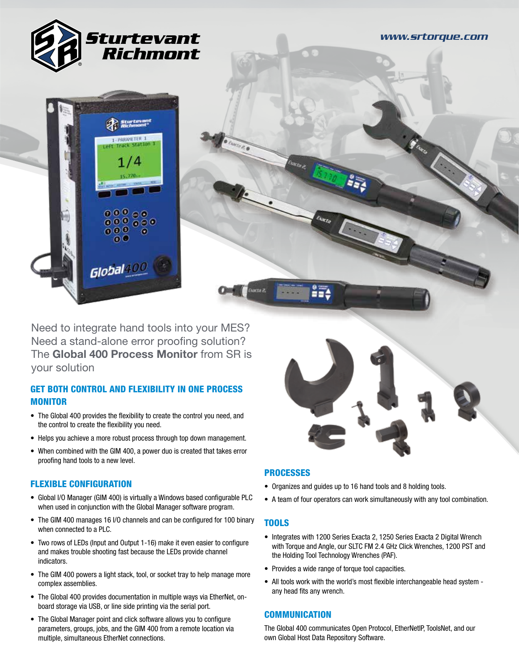

Need to integrate hand tools into your MES? Need a stand-alone error proofing solution? The Global 400 Process Monitor from SR is your solution

# GET BOTH CONTROL AND FLEXIBILITY IN ONE PROCESS MONITOR

- The Global 400 provides the flexibility to create the control you need, and the control to create the flexibility you need.
- Helps you achieve a more robust process through top down management.
- When combined with the GIM 400, a power duo is created that takes error proofing hand tools to a new level.

## FLEXIBLE CONFIGURATION

- Global I/O Manager (GIM 400) is virtually a Windows based configurable PLC when used in conjunction with the Global Manager software program.
- The GIM 400 manages 16 I/O channels and can be configured for 100 binary when connected to a PLC.
- Two rows of LEDs (Input and Output 1-16) make it even easier to configure and makes trouble shooting fast because the LEDs provide channel indicators.
- The GIM 400 powers a light stack, tool, or socket tray to help manage more complex assemblies.
- The Global 400 provides documentation in multiple ways via EtherNet, onboard storage via USB, or line side printing via the serial port.
- The Global Manager point and click software allows you to configure parameters, groups, jobs, and the GIM 400 from a remote location via multiple, simultaneous EtherNet connections.



## **PROCESSES**

- Organizes and guides up to 16 hand tools and 8 holding tools.
- A team of four operators can work simultaneously with any tool combination.

## TOOLS

- Integrates with 1200 Series Exacta 2, 1250 Series Exacta 2 Digital Wrench with Torque and Angle, our SLTC FM 2.4 GHz Click Wrenches, 1200 PST and the Holding Tool Technology Wrenches (PAF).
- Provides a wide range of torque tool capacities.
- All tools work with the world's most flexible interchangeable head system any head fits any wrench.

## **COMMUNICATION**

The Global 400 communicates Open Protocol, EtherNetIP, ToolsNet, and our own Global Host Data Repository Software.